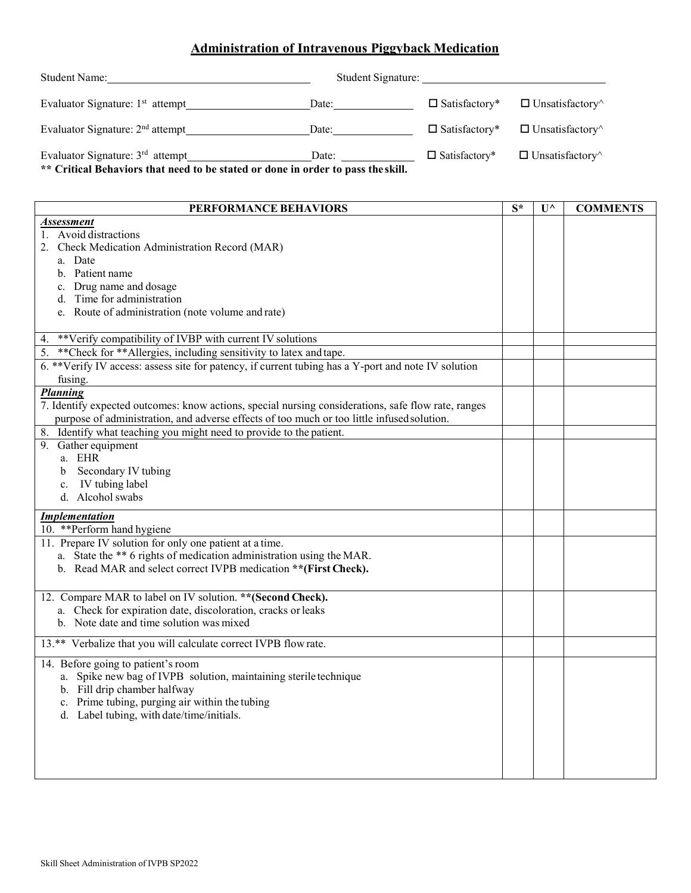## **Administration of Intravenous Piggyback Medication**

| Student Name:                                                                                                          | Student Signature: |                      |                               |
|------------------------------------------------------------------------------------------------------------------------|--------------------|----------------------|-------------------------------|
| Evaluator Signature: $1st$ attempt                                                                                     | Date:              | $\Box$ Satisfactory* | $\Box$ Unsatisfactory $\land$ |
| Evaluator Signature: $2nd$ attempt                                                                                     | Date:              | $\Box$ Satisfactory* | $\Box$ Unsatisfactory $\land$ |
| Evaluator Signature: $3rd$ attempt<br>** Critical Behaviors that need to be stated or done in order to pass the skill. | Date:              | $\Box$ Satisfactory* | $\Box$ Unsatisfactory $\land$ |

**PERFORMANCE BEHAVIORS S\* U^ COMMENTS** *Assessment* 1. Avoid distractions 2. Check Medication Administration Record (MAR) a. Date b. Patient name c. Drug name and dosage d. Time for administration e. Route of administration (note volume and rate) 4. \*\*Verify compatibility of IVBP with current IV solutions 5. \*\*Check for \*\*Allergies, including sensitivity to latex and tape. 6. \*\*Verify IV access: assess site for patency, if current tubing has a Y-port and note IV solution fusing. *Planning* 7. Identify expected outcomes: know actions, special nursing considerations, safe flow rate, ranges purpose of administration, and adverse effects of too much or too little infusedsolution. 8. Identify what teaching you might need to provide to the patient. 9. Gather equipment a. EHR b Secondary IV tubing c. IV tubing label d. Alcohol swabs *Implementation* 10. \*\*Perform hand hygiene 11. Prepare IV solution for only one patient at a time. a. State the \*\* 6 rights of medication administration using the MAR. b. Read MAR and select correct IVPB medication **\*\*(First Check).** 12. Compare MAR to label on IV solution. **\*\*(Second Check).** a. Check for expiration date, discoloration, cracks orleaks b. Note date and time solution was mixed 13.\*\* Verbalize that you will calculate correct IVPB flow rate. 14. Before going to patient's room a. Spike new bag of IVPB solution, maintaining sterile technique b. Fill drip chamber halfway c. Prime tubing, purging air within the tubing d. Label tubing, with date/time/initials.